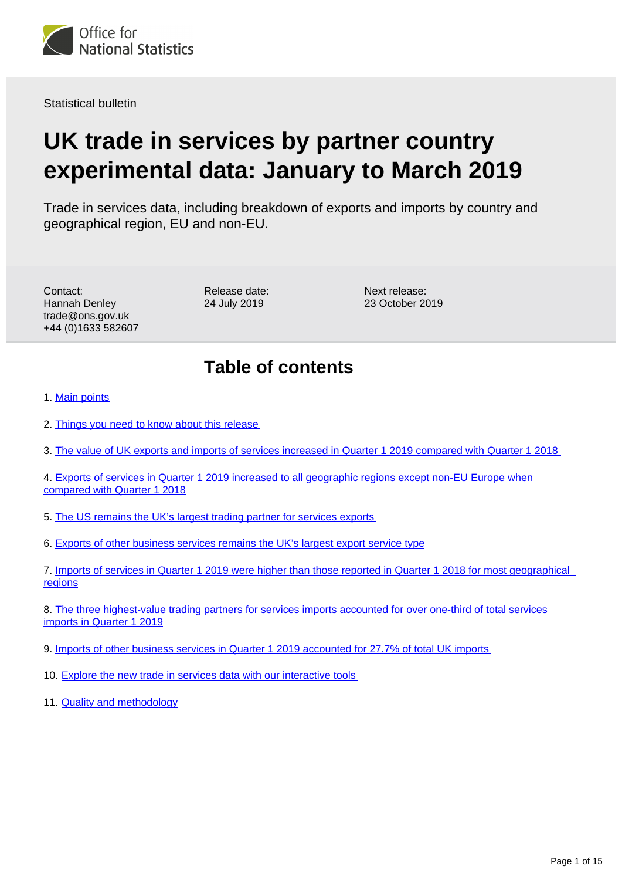<span id="page-0-0"></span>

Statistical bulletin

# **UK trade in services by partner country experimental data: January to March 2019**

Trade in services data, including breakdown of exports and imports by country and geographical region, EU and non-EU.

Contact: Hannah Denley trade@ons.gov.uk +44 (0)1633 582607

Release date: 24 July 2019

Next release: 23 October 2019

## **Table of contents**

- 1. [Main points](#page-1-0)
- 2. [Things you need to know about this release](#page-1-1)
- 3. [The value of UK exports and imports of services increased in Quarter 1 2019 compared with Quarter 1 2018](#page-2-0)
- 4. [Exports of services in Quarter 1 2019 increased to all geographic regions except non-EU Europe when](#page-3-0)  [compared with Quarter 1 2018](#page-3-0)
- 5. [The US remains the UK's largest trading partner for services exports](#page-4-0)
- 6. [Exports of other business services remains the UK's largest export service type](#page-5-0)
- 7. [Imports of services in Quarter 1 2019 were higher than those reported in Quarter 1 2018 for most geographical](#page-8-0)  [regions](#page-8-0)
- 8. [The three highest-value trading partners for services imports accounted for over one-third of total services](#page-9-0)  [imports in Quarter 1 2019](#page-9-0)
- 9. [Imports of other business services in Quarter 1 2019 accounted for 27.7% of total UK imports](#page-10-0)
- 10. [Explore the new trade in services data with our interactive tools](#page-12-0)
- 11. **[Quality and methodology](#page-13-0)**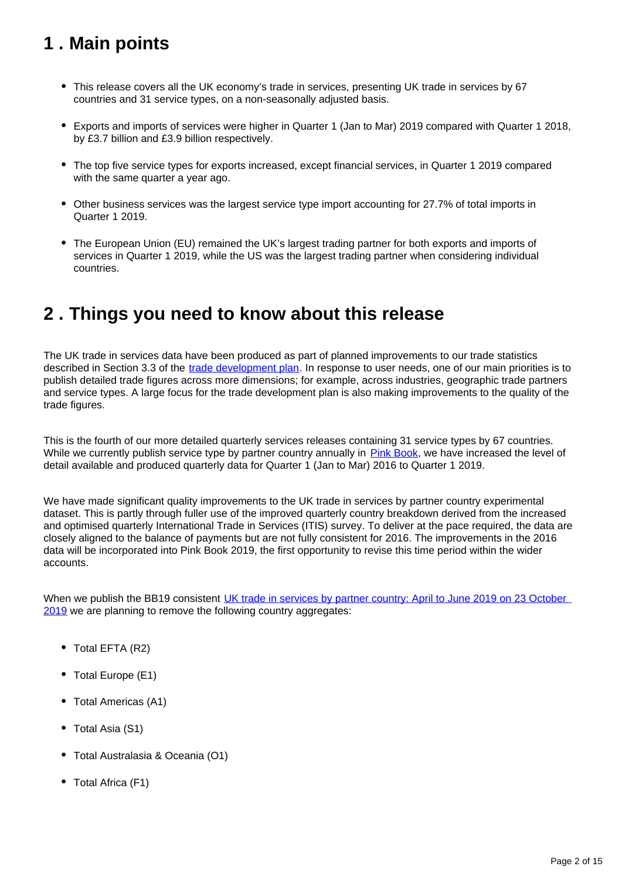## <span id="page-1-0"></span>**1 . Main points**

- This release covers all the UK economy's trade in services, presenting UK trade in services by 67 countries and 31 service types, on a non-seasonally adjusted basis.
- Exports and imports of services were higher in Quarter 1 (Jan to Mar) 2019 compared with Quarter 1 2018, by £3.7 billion and £3.9 billion respectively.
- The top five service types for exports increased, except financial services, in Quarter 1 2019 compared with the same quarter a year ago.
- Other business services was the largest service type import accounting for 27.7% of total imports in Quarter 1 2019.
- The European Union (EU) remained the UK's largest trading partner for both exports and imports of services in Quarter 1 2019, while the US was the largest trading partner when considering individual countries.

## <span id="page-1-1"></span>**2 . Things you need to know about this release**

The UK trade in services data have been produced as part of planned improvements to our trade statistics described in Section 3.3 of the [trade development plan.](https://www.ons.gov.uk/economy/nationalaccounts/balanceofpayments/articles/uktradedevelopmentplan/2017) In response to user needs, one of our main priorities is to publish detailed trade figures across more dimensions; for example, across industries, geographic trade partners and service types. A large focus for the trade development plan is also making improvements to the quality of the trade figures.

This is the fourth of our more detailed quarterly services releases containing 31 service types by 67 countries. While we currently publish service type by partner country annually in [Pink Book](https://www.ons.gov.uk/economy/nationalaccounts/balanceofpayments/bulletins/unitedkingdombalanceofpaymentsthepinkbook/2018), we have increased the level of detail available and produced quarterly data for Quarter 1 (Jan to Mar) 2016 to Quarter 1 2019.

We have made significant quality improvements to the UK trade in services by partner country experimental dataset. This is partly through fuller use of the improved quarterly country breakdown derived from the increased and optimised quarterly International Trade in Services (ITIS) survey. To deliver at the pace required, the data are closely aligned to the balance of payments but are not fully consistent for 2016. The improvements in the 2016 data will be incorporated into Pink Book 2019, the first opportunity to revise this time period within the wider accounts.

When we publish the BB19 consistent UK trade in services by partner country: April to June 2019 on 23 October [2019](https://www.ons.gov.uk/releases/uktradequarterlytradeingoodsandservicestablesapriltojune2019) we are planning to remove the following country aggregates:

- Total EFTA (R2)
- Total Europe (E1)
- Total Americas (A1)
- Total Asia (S1)
- Total Australasia & Oceania (O1)
- Total Africa (F1)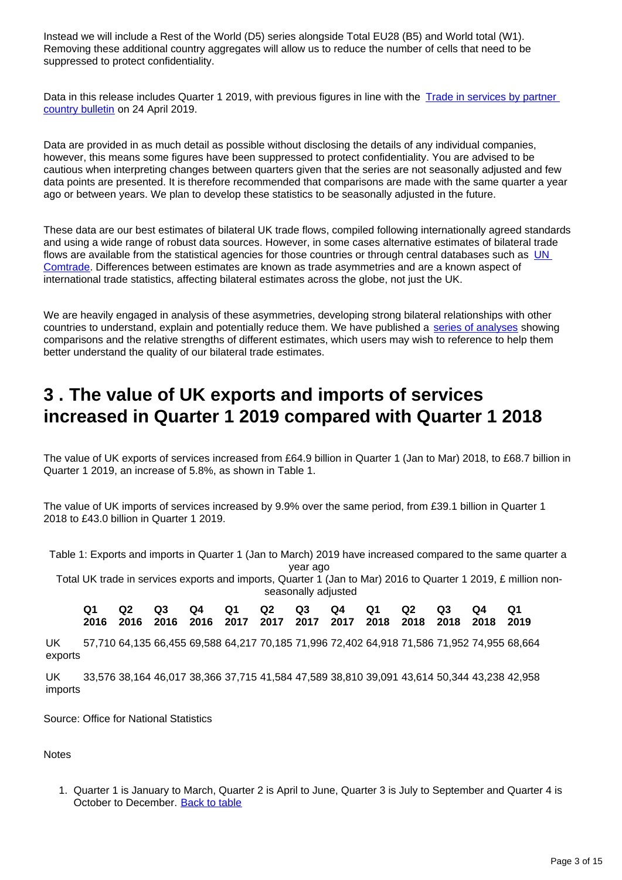Instead we will include a Rest of the World (D5) series alongside Total EU28 (B5) and World total (W1). Removing these additional country aggregates will allow us to reduce the number of cells that need to be suppressed to protect confidentiality.

Data in this release includes Quarter 1 2019, with previous figures in line with the Trade in services by partner [country bulletin](https://www.ons.gov.uk/businessindustryandtrade/internationaltrade/bulletins/exportsandimportsstatisticsbycountryforuktradeinservices/octobertodecember2018) on 24 April 2019.

Data are provided in as much detail as possible without disclosing the details of any individual companies, however, this means some figures have been suppressed to protect confidentiality. You are advised to be cautious when interpreting changes between quarters given that the series are not seasonally adjusted and few data points are presented. It is therefore recommended that comparisons are made with the same quarter a year ago or between years. We plan to develop these statistics to be seasonally adjusted in the future.

These data are our best estimates of bilateral UK trade flows, compiled following internationally agreed standards and using a wide range of robust data sources. However, in some cases alternative estimates of bilateral trade flows are available from the statistical agencies for those countries or through central databases such as UN [Comtrade](https://comtrade.un.org/). Differences between estimates are known as trade asymmetries and are a known aspect of international trade statistics, affecting bilateral estimates across the globe, not just the UK.

We are heavily engaged in analysis of these asymmetries, developing strong bilateral relationships with other countries to understand, explain and potentially reduce them. We have published a [series of analyses](https://www.ons.gov.uk/economy/nationalaccounts/balanceofpayments/articles/asymmetriesintradedatadivingdeeperintoukbilateraltradedata/extendinganalysisofukbilateraltradedata) showing comparisons and the relative strengths of different estimates, which users may wish to reference to help them better understand the quality of our bilateral trade estimates.

## <span id="page-2-0"></span>**3 . The value of UK exports and imports of services increased in Quarter 1 2019 compared with Quarter 1 2018**

The value of UK exports of services increased from £64.9 billion in Quarter 1 (Jan to Mar) 2018, to £68.7 billion in Quarter 1 2019, an increase of 5.8%, as shown in Table 1.

The value of UK imports of services increased by 9.9% over the same period, from £39.1 billion in Quarter 1 2018 to £43.0 billion in Quarter 1 2019.

Table 1: Exports and imports in Quarter 1 (Jan to March) 2019 have increased compared to the same quarter a year ago

Total UK trade in services exports and imports, Quarter 1 (Jan to Mar) 2016 to Quarter 1 2019, £ million nonseasonally adjusted

|  |  |  |  |  | Q1 Q2 Q3 Q4 Q1 Q2 Q3 Q4 Q1 Q2 Q3 Q4 Q1                           |  |
|--|--|--|--|--|------------------------------------------------------------------|--|
|  |  |  |  |  | 2016 2016 2016 2016 2017 2017 2017 2017 2018 2018 2018 2018 2019 |  |

UK exports 57,710 64,135 66,455 69,588 64,217 70,185 71,996 72,402 64,918 71,586 71,952 74,955 68,664

UK imports 33,576 38,164 46,017 38,366 37,715 41,584 47,589 38,810 39,091 43,614 50,344 43,238 42,958

Source: Office for National Statistics

**Notes** 

1. Quarter 1 is January to March, Quarter 2 is April to June, Quarter 3 is July to September and Quarter 4 is October to December. [Back to table](#page-0-0)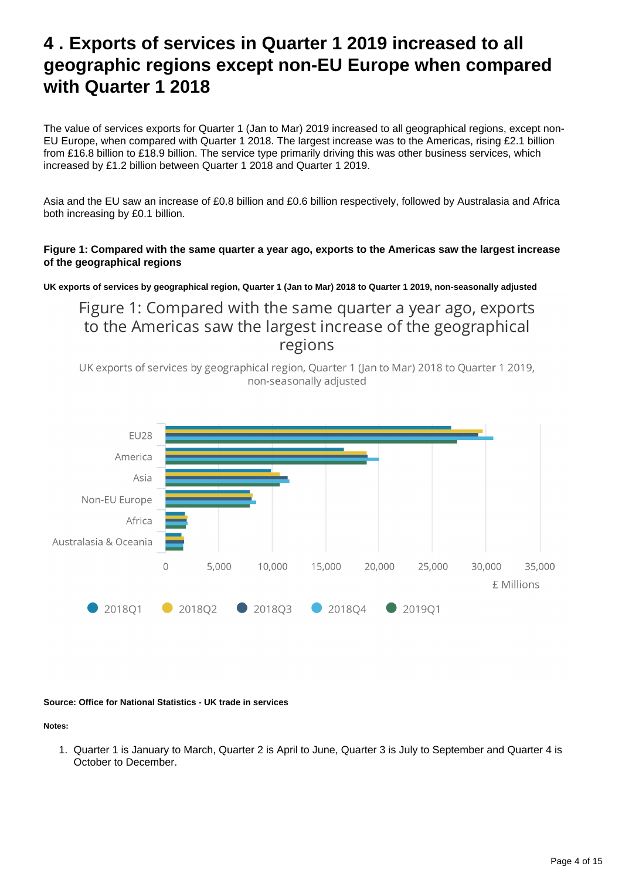## <span id="page-3-0"></span>**4 . Exports of services in Quarter 1 2019 increased to all geographic regions except non-EU Europe when compared with Quarter 1 2018**

The value of services exports for Quarter 1 (Jan to Mar) 2019 increased to all geographical regions, except non-EU Europe, when compared with Quarter 1 2018. The largest increase was to the Americas, rising £2.1 billion from £16.8 billion to £18.9 billion. The service type primarily driving this was other business services, which increased by £1.2 billion between Quarter 1 2018 and Quarter 1 2019.

Asia and the EU saw an increase of £0.8 billion and £0.6 billion respectively, followed by Australasia and Africa both increasing by £0.1 billion.

### **Figure 1: Compared with the same quarter a year ago, exports to the Americas saw the largest increase of the geographical regions**

**UK exports of services by geographical region, Quarter 1 (Jan to Mar) 2018 to Quarter 1 2019, non-seasonally adjusted**

Figure 1: Compared with the same quarter a year ago, exports to the Americas saw the largest increase of the geographical regions

UK exports of services by geographical region, Quarter 1 (Jan to Mar) 2018 to Quarter 1 2019, non-seasonally adjusted



**Source: Office for National Statistics - UK trade in services**

**Notes:**

1. Quarter 1 is January to March, Quarter 2 is April to June, Quarter 3 is July to September and Quarter 4 is October to December.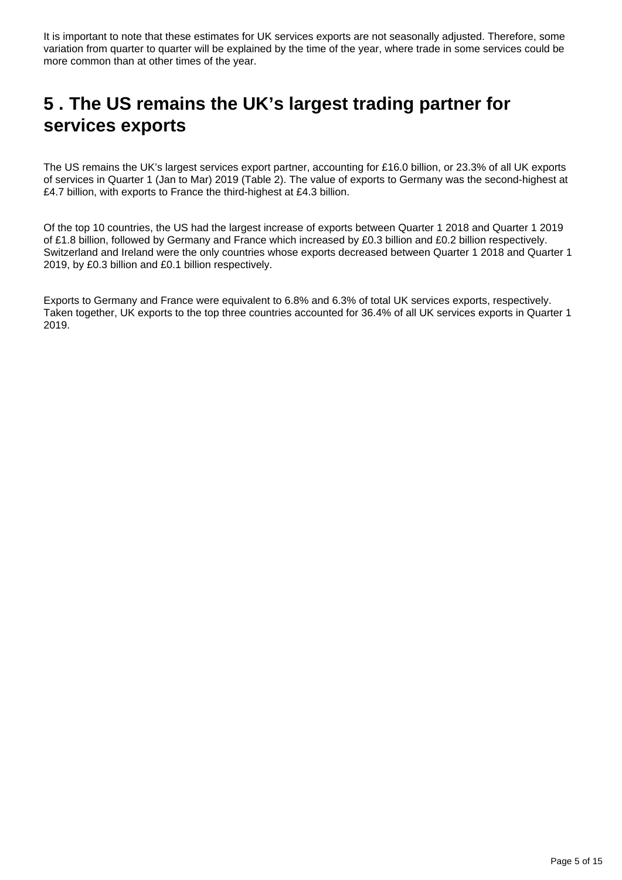It is important to note that these estimates for UK services exports are not seasonally adjusted. Therefore, some variation from quarter to quarter will be explained by the time of the year, where trade in some services could be more common than at other times of the year.

## <span id="page-4-0"></span>**5 . The US remains the UK's largest trading partner for services exports**

The US remains the UK's largest services export partner, accounting for £16.0 billion, or 23.3% of all UK exports of services in Quarter 1 (Jan to Mar) 2019 (Table 2). The value of exports to Germany was the second-highest at £4.7 billion, with exports to France the third-highest at £4.3 billion.

Of the top 10 countries, the US had the largest increase of exports between Quarter 1 2018 and Quarter 1 2019 of £1.8 billion, followed by Germany and France which increased by £0.3 billion and £0.2 billion respectively. Switzerland and Ireland were the only countries whose exports decreased between Quarter 1 2018 and Quarter 1 2019, by £0.3 billion and £0.1 billion respectively.

Exports to Germany and France were equivalent to 6.8% and 6.3% of total UK services exports, respectively. Taken together, UK exports to the top three countries accounted for 36.4% of all UK services exports in Quarter 1 2019.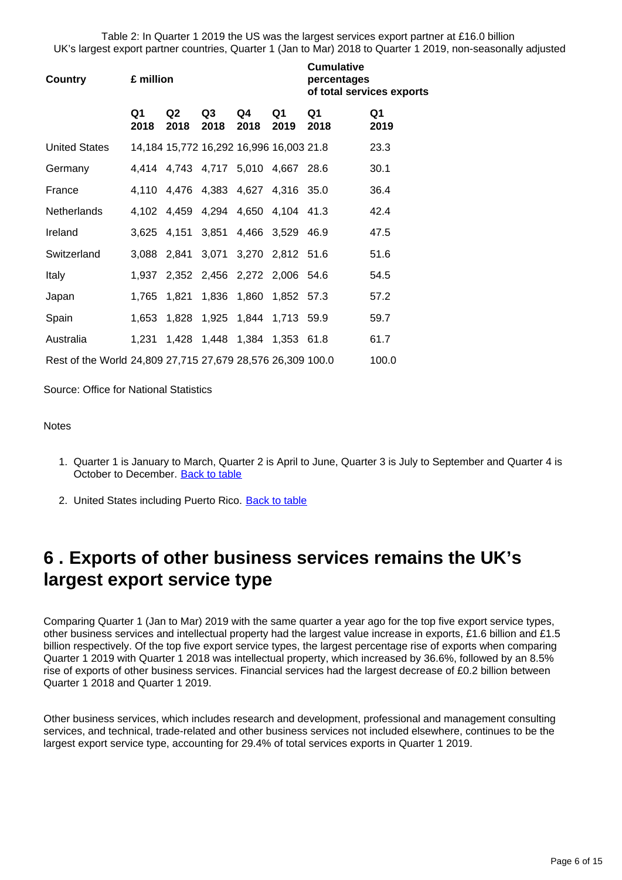Table 2: In Quarter 1 2019 the US was the largest services export partner at £16.0 billion UK's largest export partner countries, Quarter 1 (Jan to Mar) 2018 to Quarter 1 2019, non-seasonally adjusted

| Country                                                    | £ million              |                        |                                         | <b>Cumulative</b><br>percentages<br>of total services exports |            |            |            |
|------------------------------------------------------------|------------------------|------------------------|-----------------------------------------|---------------------------------------------------------------|------------|------------|------------|
|                                                            | Q <sub>1</sub><br>2018 | Q <sub>2</sub><br>2018 | Q3<br>2018                              | Q4<br>2018                                                    | Q1<br>2019 | Q1<br>2018 | Q1<br>2019 |
| <b>United States</b>                                       |                        |                        | 14,184 15,772 16,292 16,996 16,003 21.8 |                                                               |            |            | 23.3       |
| Germany                                                    |                        |                        | 4,414 4,743 4,717 5,010 4,667 28.6      |                                                               |            |            | 30.1       |
| France                                                     |                        |                        | 4,110 4,476 4,383 4,627 4,316 35.0      |                                                               |            |            | 36.4       |
| Netherlands                                                |                        |                        | 4,102 4,459 4,294 4,650 4,104 41.3      |                                                               |            |            | 42.4       |
| Ireland                                                    |                        |                        | 3,625 4,151 3,851 4,466 3,529 46.9      |                                                               |            |            | 47.5       |
| Switzerland                                                |                        |                        | 3,088 2,841 3,071 3,270 2,812 51.6      |                                                               |            |            | 51.6       |
| Italy                                                      |                        |                        | 1,937 2,352 2,456 2,272 2,006 54.6      |                                                               |            |            | 54.5       |
| Japan                                                      |                        |                        | 1,765 1,821 1,836 1,860 1,852 57.3      |                                                               |            |            | 57.2       |
| Spain                                                      |                        |                        | 1,653 1,828 1,925 1,844 1,713 59.9      |                                                               |            |            | 59.7       |
| Australia                                                  | 1,231                  |                        | 1,428 1,448 1,384 1,353 61.8            |                                                               |            |            | 61.7       |
| Rest of the World 24,809 27,715 27,679 28,576 26,309 100.0 |                        |                        |                                         |                                                               |            |            | 100.0      |

Source: Office for National Statistics

#### **Notes**

- 1. Quarter 1 is January to March, Quarter 2 is April to June, Quarter 3 is July to September and Quarter 4 is October to December. [Back to table](#page-0-0)
- 2. United States including Puerto Rico. [Back to table](#page-0-0)

## <span id="page-5-0"></span>**6 . Exports of other business services remains the UK's largest export service type**

Comparing Quarter 1 (Jan to Mar) 2019 with the same quarter a year ago for the top five export service types, other business services and intellectual property had the largest value increase in exports, £1.6 billion and £1.5 billion respectively. Of the top five export service types, the largest percentage rise of exports when comparing Quarter 1 2019 with Quarter 1 2018 was intellectual property, which increased by 36.6%, followed by an 8.5% rise of exports of other business services. Financial services had the largest decrease of £0.2 billion between Quarter 1 2018 and Quarter 1 2019.

Other business services, which includes research and development, professional and management consulting services, and technical, trade-related and other business services not included elsewhere, continues to be the largest export service type, accounting for 29.4% of total services exports in Quarter 1 2019.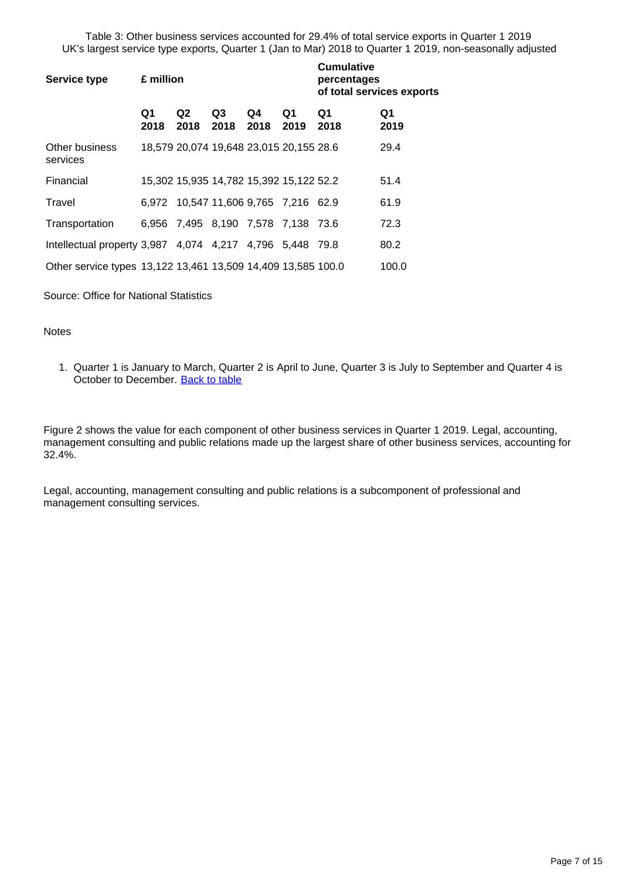Table 3: Other business services accounted for 29.4% of total service exports in Quarter 1 2019 UK's largest service type exports, Quarter 1 (Jan to Mar) 2018 to Quarter 1 2019, non-seasonally adjusted

| <b>Service type</b>                                          | £ million  |                                         |                        | <b>Cumulative</b><br>percentages<br>of total services exports |            |            |            |
|--------------------------------------------------------------|------------|-----------------------------------------|------------------------|---------------------------------------------------------------|------------|------------|------------|
|                                                              | Q1<br>2018 | Q <sub>2</sub><br>2018                  | Q <sub>3</sub><br>2018 | Q4<br>2018                                                    | Q1<br>2019 | Q1<br>2018 | Q1<br>2019 |
| Other business<br>services                                   |            | 18,579 20,074 19,648 23,015 20,155 28.6 |                        |                                                               |            |            | 29.4       |
| Financial                                                    |            | 15,302 15,935 14,782 15,392 15,122 52.2 |                        |                                                               |            |            | 51.4       |
| Travel                                                       |            | 6,972 10,547 11,606 9,765 7,216 62.9    |                        |                                                               |            |            | 61.9       |
| Transportation                                               |            | 6,956 7,495 8,190 7,578 7,138 73.6      |                        |                                                               |            |            | 72.3       |
| Intellectual property 3,987 4,074 4,217 4,796 5,448 79.8     |            |                                         |                        |                                                               |            |            | 80.2       |
| Other service types 13,122 13,461 13,509 14,409 13,585 100.0 |            |                                         |                        |                                                               |            |            | 100.0      |

Source: Office for National Statistics

#### **Notes**

1. Quarter 1 is January to March, Quarter 2 is April to June, Quarter 3 is July to September and Quarter 4 is October to December. [Back to table](#page-0-0)

Figure 2 shows the value for each component of other business services in Quarter 1 2019. Legal, accounting, management consulting and public relations made up the largest share of other business services, accounting for 32.4%.

Legal, accounting, management consulting and public relations is a subcomponent of professional and management consulting services.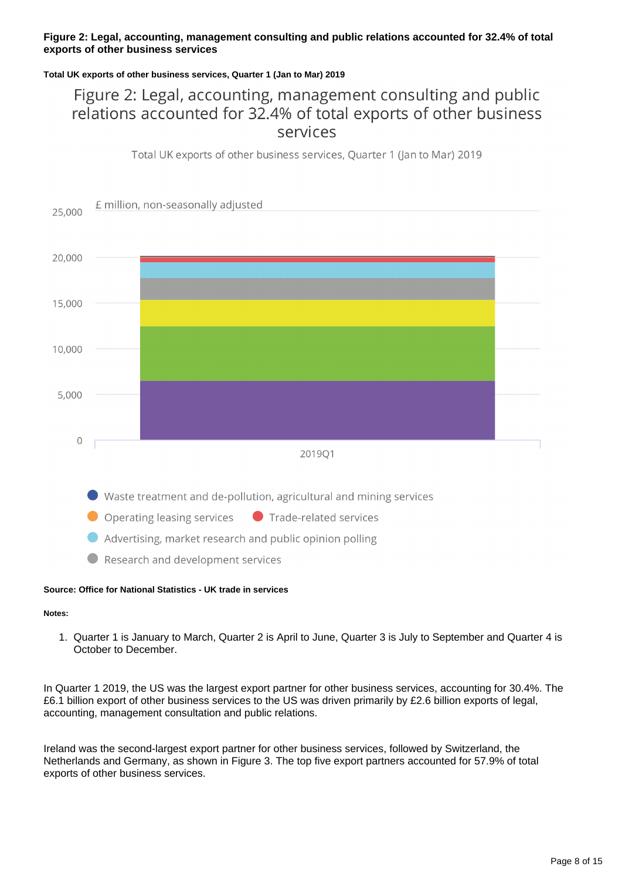### **Figure 2: Legal, accounting, management consulting and public relations accounted for 32.4% of total exports of other business services**

### **Total UK exports of other business services, Quarter 1 (Jan to Mar) 2019**

### Figure 2: Legal, accounting, management consulting and public relations accounted for 32.4% of total exports of other business services

Total UK exports of other business services, Quarter 1 (Jan to Mar) 2019



### **Source: Office for National Statistics - UK trade in services**

#### **Notes:**

1. Quarter 1 is January to March, Quarter 2 is April to June, Quarter 3 is July to September and Quarter 4 is October to December.

In Quarter 1 2019, the US was the largest export partner for other business services, accounting for 30.4%. The £6.1 billion export of other business services to the US was driven primarily by £2.6 billion exports of legal, accounting, management consultation and public relations.

Ireland was the second-largest export partner for other business services, followed by Switzerland, the Netherlands and Germany, as shown in Figure 3. The top five export partners accounted for 57.9% of total exports of other business services.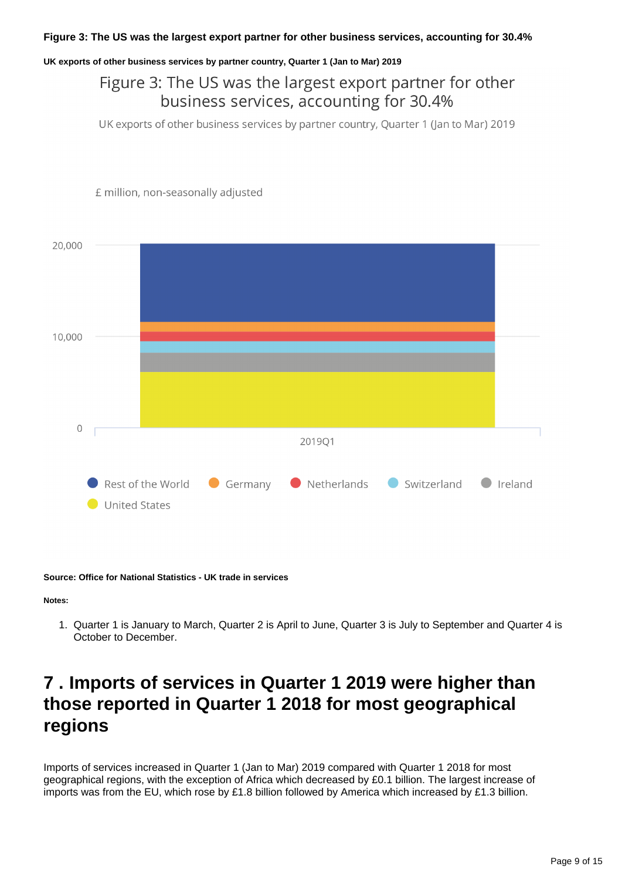### **UK exports of other business services by partner country, Quarter 1 (Jan to Mar) 2019**

### Figure 3: The US was the largest export partner for other business services, accounting for 30.4%

UK exports of other business services by partner country, Quarter 1 (Jan to Mar) 2019



£ million, non-seasonally adjusted

**Source: Office for National Statistics - UK trade in services**

**Notes:**

1. Quarter 1 is January to March, Quarter 2 is April to June, Quarter 3 is July to September and Quarter 4 is October to December.

## <span id="page-8-0"></span>**7 . Imports of services in Quarter 1 2019 were higher than those reported in Quarter 1 2018 for most geographical regions**

Imports of services increased in Quarter 1 (Jan to Mar) 2019 compared with Quarter 1 2018 for most geographical regions, with the exception of Africa which decreased by £0.1 billion. The largest increase of imports was from the EU, which rose by £1.8 billion followed by America which increased by £1.3 billion.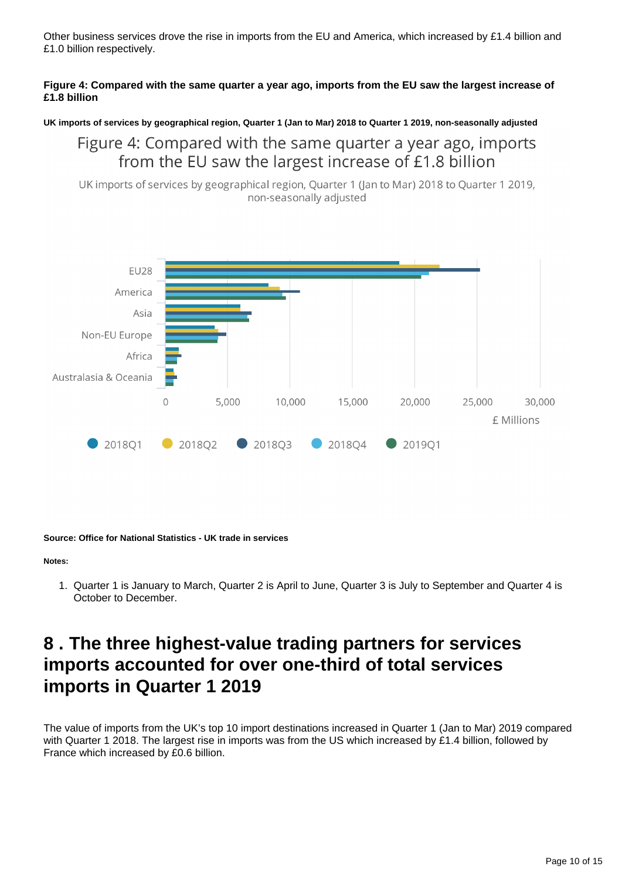Other business services drove the rise in imports from the EU and America, which increased by £1.4 billion and £1.0 billion respectively.

### **Figure 4: Compared with the same quarter a year ago, imports from the EU saw the largest increase of £1.8 billion**

**UK imports of services by geographical region, Quarter 1 (Jan to Mar) 2018 to Quarter 1 2019, non-seasonally adjusted**

### Figure 4: Compared with the same quarter a year ago, imports from the EU saw the largest increase of £1.8 billion

UK imports of services by geographical region, Quarter 1 (Jan to Mar) 2018 to Quarter 1 2019, non-seasonally adjusted



**Source: Office for National Statistics - UK trade in services**

#### **Notes:**

1. Quarter 1 is January to March, Quarter 2 is April to June, Quarter 3 is July to September and Quarter 4 is October to December.

## <span id="page-9-0"></span>**8 . The three highest-value trading partners for services imports accounted for over one-third of total services imports in Quarter 1 2019**

The value of imports from the UK's top 10 import destinations increased in Quarter 1 (Jan to Mar) 2019 compared with Quarter 1 2018. The largest rise in imports was from the US which increased by £1.4 billion, followed by France which increased by £0.6 billion.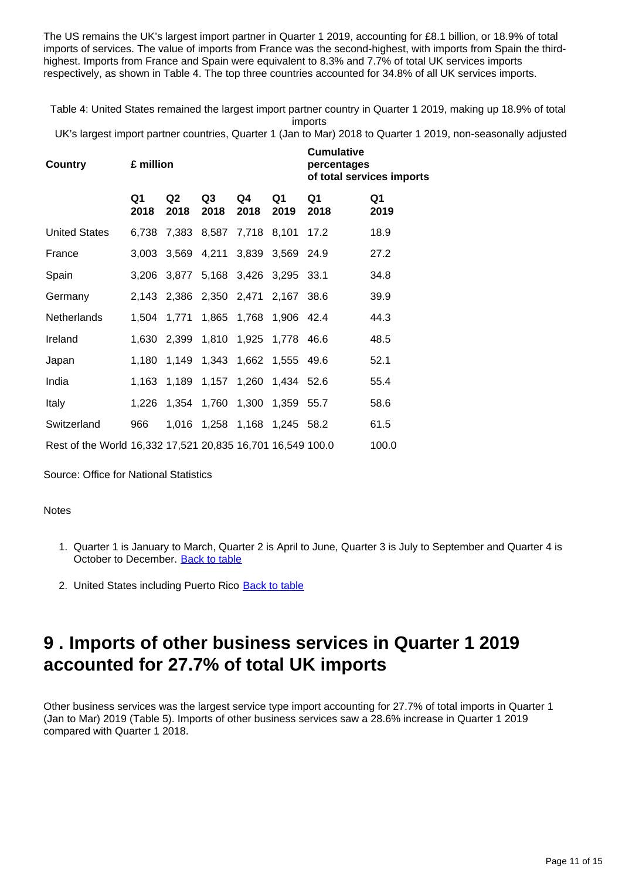The US remains the UK's largest import partner in Quarter 1 2019, accounting for £8.1 billion, or 18.9% of total imports of services. The value of imports from France was the second-highest, with imports from Spain the thirdhighest. Imports from France and Spain were equivalent to 8.3% and 7.7% of total UK services imports respectively, as shown in Table 4. The top three countries accounted for 34.8% of all UK services imports.

Table 4: United States remained the largest import partner country in Quarter 1 2019, making up 18.9% of total imports

UK's largest import partner countries, Quarter 1 (Jan to Mar) 2018 to Quarter 1 2019, non-seasonally adjusted

| <b>Country</b>                                             | £ million  |                        |                                    | <b>Cumulative</b><br>percentages<br>of total services imports |                  |            |            |
|------------------------------------------------------------|------------|------------------------|------------------------------------|---------------------------------------------------------------|------------------|------------|------------|
|                                                            | Q1<br>2018 | Q <sub>2</sub><br>2018 | Q3<br>2018                         | Q4<br>2018                                                    | Q1<br>2019       | Q1<br>2018 | Q1<br>2019 |
| <b>United States</b>                                       | 6,738      |                        | 7,383 8,587 7,718 8,101            |                                                               |                  | 17.2       | 18.9       |
| France                                                     | 3,003      |                        | 3,569 4,211 3,839 3,569 24.9       |                                                               |                  |            | 27.2       |
| Spain                                                      |            |                        | 3,206 3,877 5,168 3,426 3,295 33.1 |                                                               |                  |            | 34.8       |
| Germany                                                    |            |                        | 2,143 2,386 2,350 2,471 2,167 38.6 |                                                               |                  |            | 39.9       |
| Netherlands                                                |            |                        | 1,504 1,771 1,865 1,768 1,906 42.4 |                                                               |                  |            | 44.3       |
| Ireland                                                    |            |                        | 1,630 2,399 1,810 1,925 1,778 46.6 |                                                               |                  |            | 48.5       |
| Japan                                                      | 1,180      |                        | 1,149 1,343 1,662 1,555 49.6       |                                                               |                  |            | 52.1       |
| India                                                      |            |                        | 1,163 1,189 1,157 1,260 1,434 52.6 |                                                               |                  |            | 55.4       |
| <b>Italy</b>                                               | 1,226      |                        | 1,354 1,760                        |                                                               | 1,300 1,359 55.7 |            | 58.6       |
| Switzerland                                                | 966        |                        | 1,016 1,258 1,168 1,245 58.2       |                                                               |                  |            | 61.5       |
| Rest of the World 16,332 17,521 20,835 16,701 16,549 100.0 |            |                        |                                    |                                                               |                  |            | 100.0      |

Source: Office for National Statistics

### **Notes**

- 1. Quarter 1 is January to March, Quarter 2 is April to June, Quarter 3 is July to September and Quarter 4 is October to December. [Back to table](#page-0-0)
- 2. United States including Puerto Rico [Back to table](#page-0-0)

## <span id="page-10-0"></span>**9 . Imports of other business services in Quarter 1 2019 accounted for 27.7% of total UK imports**

Other business services was the largest service type import accounting for 27.7% of total imports in Quarter 1 (Jan to Mar) 2019 (Table 5). Imports of other business services saw a 28.6% increase in Quarter 1 2019 compared with Quarter 1 2018.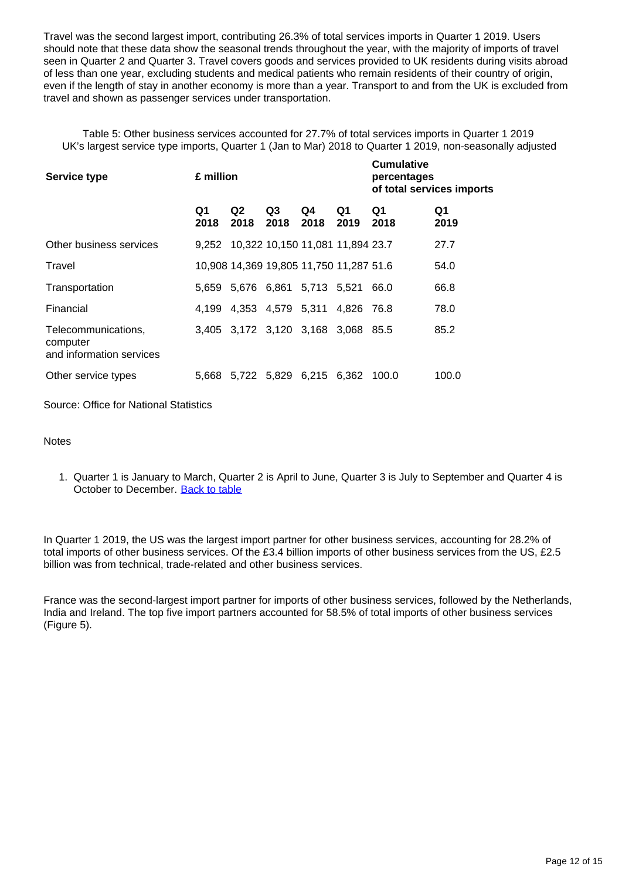Travel was the second largest import, contributing 26.3% of total services imports in Quarter 1 2019. Users should note that these data show the seasonal trends throughout the year, with the majority of imports of travel seen in Quarter 2 and Quarter 3. Travel covers goods and services provided to UK residents during visits abroad of less than one year, excluding students and medical patients who remain residents of their country of origin, even if the length of stay in another economy is more than a year. Transport to and from the UK is excluded from travel and shown as passenger services under transportation.

Table 5: Other business services accounted for 27.7% of total services imports in Quarter 1 2019 UK's largest service type imports, Quarter 1 (Jan to Mar) 2018 to Quarter 1 2019, non-seasonally adjusted

**Cumulative** 

| <b>Service type</b>                                         | £ million  |                                         |                        | Cumulative<br>percentages<br>of total services imports |            |            |            |
|-------------------------------------------------------------|------------|-----------------------------------------|------------------------|--------------------------------------------------------|------------|------------|------------|
|                                                             | Q1<br>2018 | Q <sub>2</sub><br>2018                  | Q <sub>3</sub><br>2018 | Q4<br>2018                                             | Q1<br>2019 | Q1<br>2018 | Q1<br>2019 |
| Other business services                                     |            | 9,252 10,322 10,150 11,081 11,894 23.7  |                        |                                                        |            |            | 27.7       |
| Travel                                                      |            | 10,908 14,369 19,805 11,750 11,287 51.6 |                        |                                                        |            |            | 54.0       |
| Transportation                                              |            | 5,659 5,676 6,861 5,713 5,521           |                        |                                                        |            | 66.0       | 66.8       |
| Financial                                                   |            | 4,199 4,353 4,579 5,311 4,826 76.8      |                        |                                                        |            |            | 78.0       |
| Telecommunications,<br>computer<br>and information services |            | 3,405 3,172 3,120 3,168 3,068 85.5      |                        |                                                        |            |            | 85.2       |
| Other service types                                         |            | 5,668 5,722 5,829 6,215 6,362 100.0     |                        |                                                        |            |            | 100.0      |

Source: Office for National Statistics

**Notes** 

1. Quarter 1 is January to March, Quarter 2 is April to June, Quarter 3 is July to September and Quarter 4 is October to December. [Back to table](#page-0-0)

In Quarter 1 2019, the US was the largest import partner for other business services, accounting for 28.2% of total imports of other business services. Of the £3.4 billion imports of other business services from the US, £2.5 billion was from technical, trade-related and other business services.

France was the second-largest import partner for imports of other business services, followed by the Netherlands, India and Ireland. The top five import partners accounted for 58.5% of total imports of other business services (Figure 5).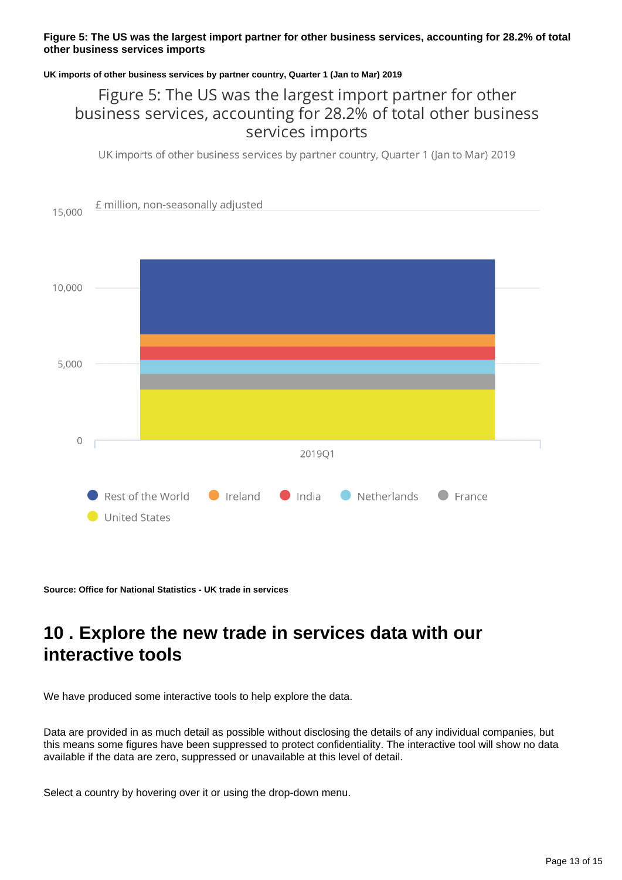### **Figure 5: The US was the largest import partner for other business services, accounting for 28.2% of total other business services imports**

### **UK imports of other business services by partner country, Quarter 1 (Jan to Mar) 2019**

### Figure 5: The US was the largest import partner for other business services, accounting for 28.2% of total other business services imports

UK imports of other business services by partner country, Quarter 1 (Jan to Mar) 2019



**Source: Office for National Statistics - UK trade in services**

## <span id="page-12-0"></span>**10 . Explore the new trade in services data with our interactive tools**

We have produced some interactive tools to help explore the data.

Data are provided in as much detail as possible without disclosing the details of any individual companies, but this means some figures have been suppressed to protect confidentiality. The interactive tool will show no data available if the data are zero, suppressed or unavailable at this level of detail.

Select a country by hovering over it or using the drop-down menu.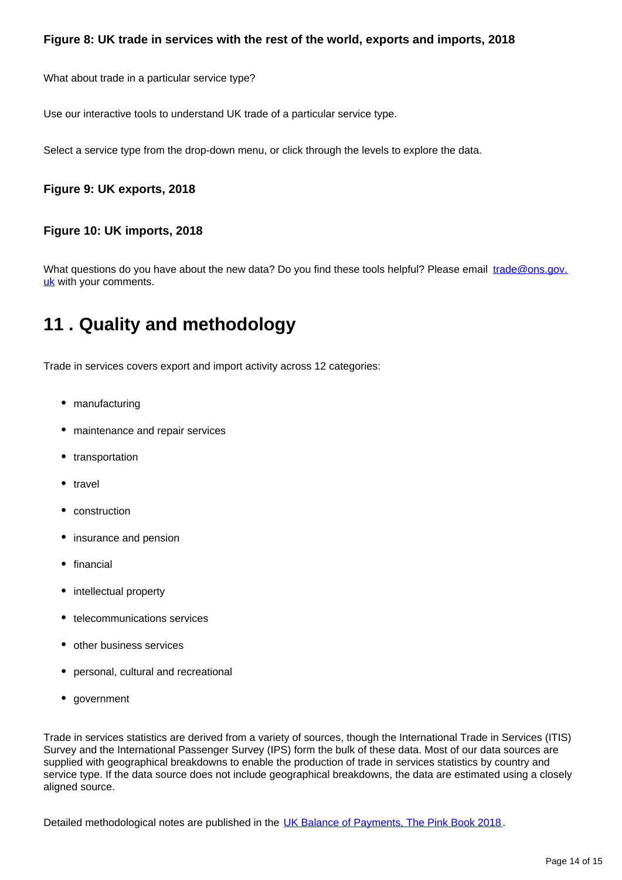What about trade in a particular service type?

Use our interactive tools to understand UK trade of a particular service type.

Select a service type from the drop-down menu, or click through the levels to explore the data.

### **Figure 9: UK exports, 2018**

### **Figure 10: UK imports, 2018**

What questions do you have about the new data? Do you find these tools helpful? Please email trade@ons.gov. uk with your comments.

## <span id="page-13-0"></span>**11 . Quality and methodology**

Trade in services covers export and import activity across 12 categories:

- manufacturing
- maintenance and repair services
- transportation
- travel
- construction
- insurance and pension
- $•$  financial
- intellectual property
- telecommunications services
- other business services
- personal, cultural and recreational
- government

Trade in services statistics are derived from a variety of sources, though the International Trade in Services (ITIS) Survey and the International Passenger Survey (IPS) form the bulk of these data. Most of our data sources are supplied with geographical breakdowns to enable the production of trade in services statistics by country and service type. If the data source does not include geographical breakdowns, the data are estimated using a closely aligned source.

Detailed methodological notes are published in the [UK Balance of Payments, The Pink Book 2018](https://www.ons.gov.uk/economy/nationalaccounts/balanceofpayments/bulletins/unitedkingdombalanceofpaymentsthepinkbook/2018).